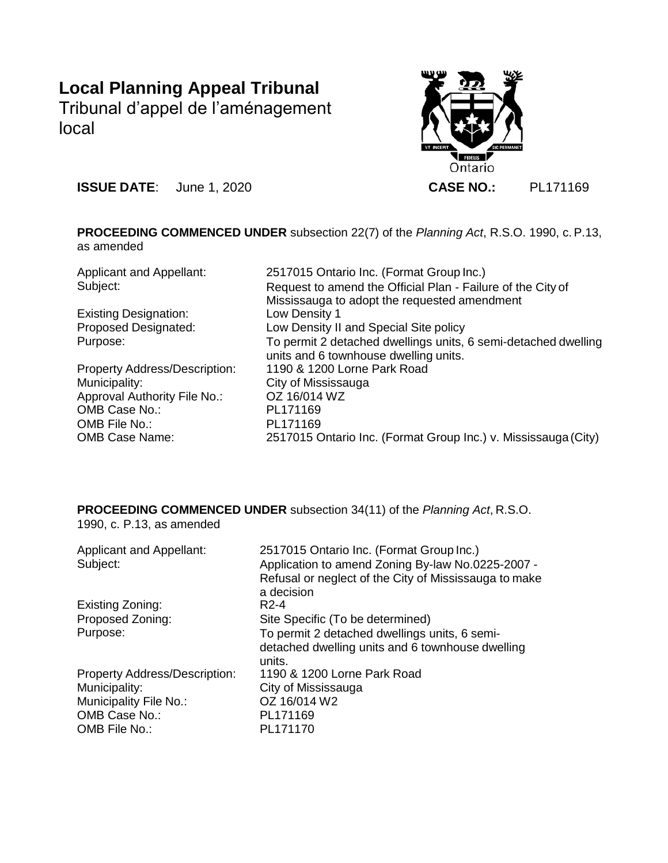# **Local Planning Appeal Tribunal**

Tribunal d'appel de l'aménagement local



**ISSUE DATE**: June 1, 2020 **CASE NO.:** PL171169

**PROCEEDING COMMENCED UNDER** subsection 22(7) of the *Planning Act*, R.S.O. 1990, c.P.13, as amended

| <b>Applicant and Appellant:</b>      | 2517015 Ontario Inc. (Format Group Inc.)                       |
|--------------------------------------|----------------------------------------------------------------|
| Subject:                             | Request to amend the Official Plan - Failure of the City of    |
|                                      | Mississauga to adopt the requested amendment                   |
| <b>Existing Designation:</b>         | Low Density 1                                                  |
| <b>Proposed Designated:</b>          | Low Density II and Special Site policy                         |
| Purpose:                             | To permit 2 detached dwellings units, 6 semi-detached dwelling |
|                                      | units and 6 townhouse dwelling units.                          |
| <b>Property Address/Description:</b> | 1190 & 1200 Lorne Park Road                                    |
| Municipality:                        | City of Mississauga                                            |
| Approval Authority File No.:         | OZ 16/014 WZ                                                   |
| OMB Case No.:                        | PL171169                                                       |
| OMB File No.:                        | PL171169                                                       |
| <b>OMB Case Name:</b>                | 2517015 Ontario Inc. (Format Group Inc.) v. Mississauga (City) |

**PROCEEDING COMMENCED UNDER** subsection 34(11) of the *Planning Act*, R.S.O. 1990, c. P.13, as amended

| <b>Applicant and Appellant:</b><br>Subject: | 2517015 Ontario Inc. (Format Group Inc.)<br>Application to amend Zoning By-law No.0225-2007 -<br>Refusal or neglect of the City of Mississauga to make<br>a decision |
|---------------------------------------------|----------------------------------------------------------------------------------------------------------------------------------------------------------------------|
| Existing Zoning:                            | R <sub>2</sub> -4                                                                                                                                                    |
| Proposed Zoning:                            | Site Specific (To be determined)                                                                                                                                     |
| Purpose:                                    | To permit 2 detached dwellings units, 6 semi-<br>detached dwelling units and 6 townhouse dwelling<br>units.                                                          |
| <b>Property Address/Description:</b>        | 1190 & 1200 Lorne Park Road                                                                                                                                          |
| Municipality:                               | City of Mississauga                                                                                                                                                  |
| Municipality File No.:                      | OZ 16/014 W2                                                                                                                                                         |
| OMB Case No.:                               | PL171169                                                                                                                                                             |
| OMB File No.:                               | PL171170                                                                                                                                                             |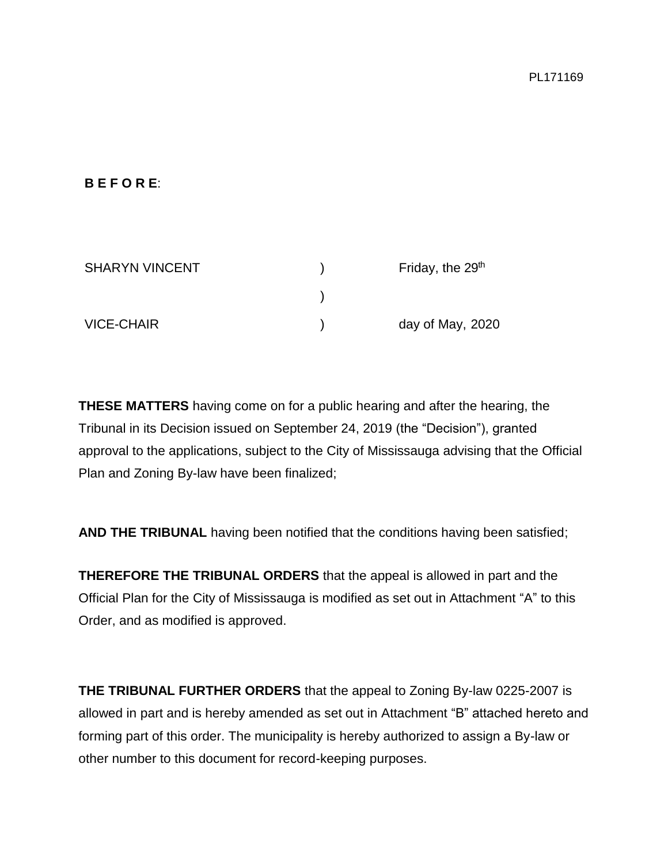## **B E F O R E**:

| <b>SHARYN VINCENT</b> | Friday, the 29 <sup>th</sup> |
|-----------------------|------------------------------|
|                       |                              |
| <b>VICE-CHAIR</b>     | day of May, 2020             |

**THESE MATTERS** having come on for a public hearing and after the hearing, the Tribunal in its Decision issued on September 24, 2019 (the "Decision"), granted approval to the applications, subject to the City of Mississauga advising that the Official Plan and Zoning By-law have been finalized;

**AND THE TRIBUNAL** having been notified that the conditions having been satisfied;

**THEREFORE THE TRIBUNAL ORDERS** that the appeal is allowed in part and the Official Plan for the City of Mississauga is modified as set out in Attachment "A" to this Order, and as modified is approved.

**THE TRIBUNAL FURTHER ORDERS** that the appeal to Zoning By-law 0225-2007 is allowed in part and is hereby amended as set out in Attachment "B" attached hereto and forming part of this order. The municipality is hereby authorized to assign a By-law or other number to this document for record-keeping purposes.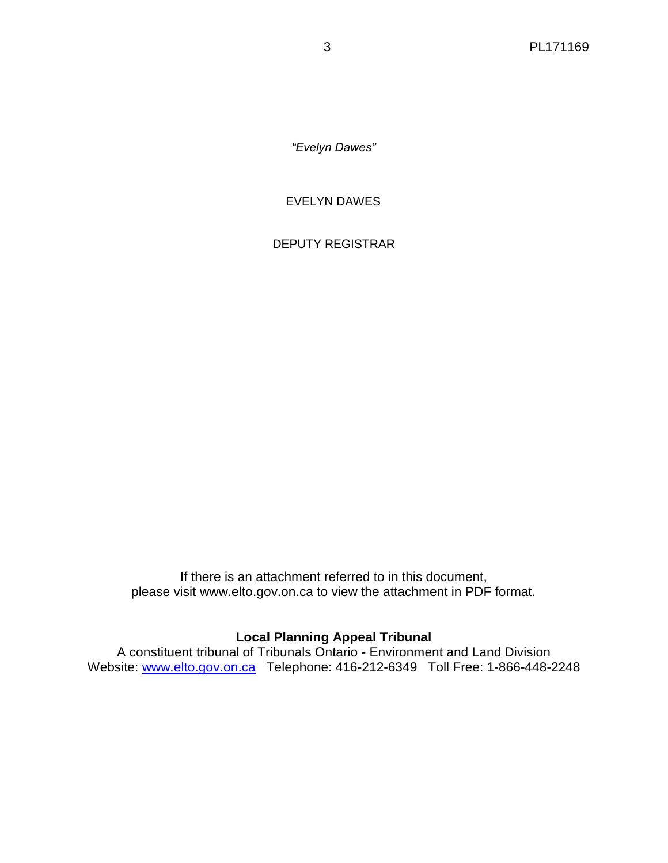*"Evelyn Dawes"*

EVELYN DAWES

DEPUTY REGISTRAR

If there is an attachment referred to in this document, please visit www.elto.gov.on.ca to view the attachment in PDF format.

# **Local Planning Appeal Tribunal**

A constituent tribunal of Tribunals Ontario - Environment and Land Division Website: [www.elto.gov.on.ca](http://www.elto.gov.on.ca/) Telephone: 416-212-6349 Toll Free: 1-866-448-2248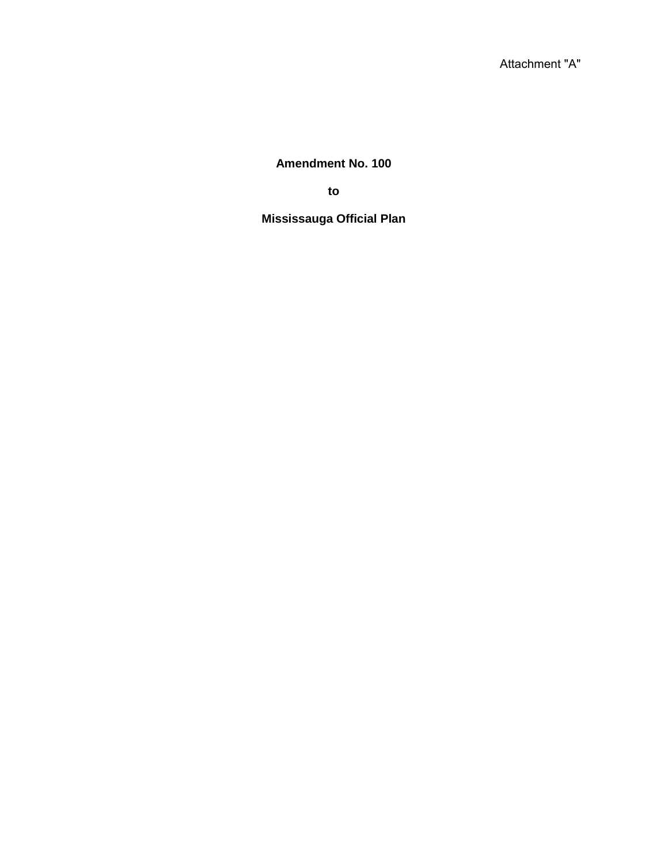**Amendment No. 100**

**to**

**Mississauga Official Plan**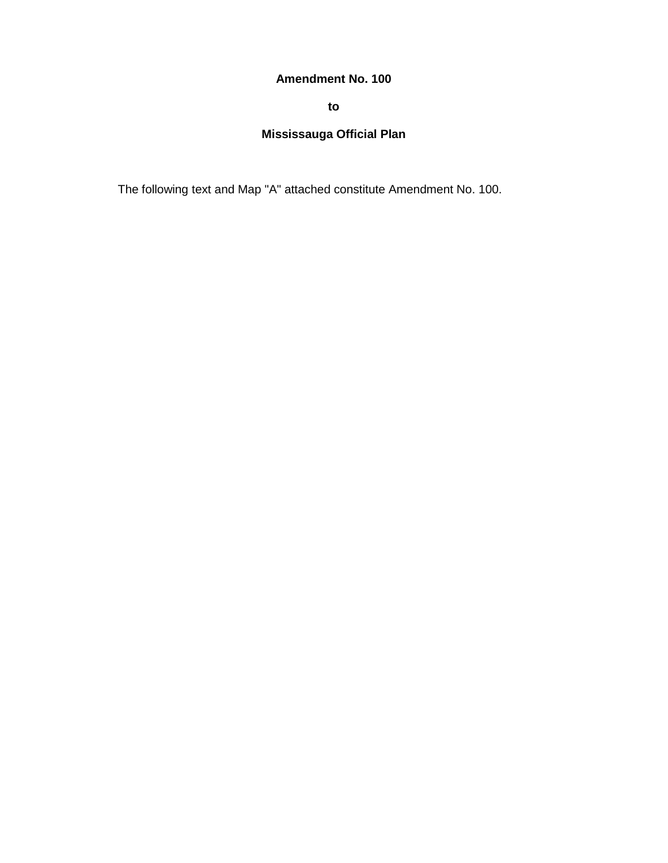## **Amendment No. 100**

**to**

# **Mississauga Official Plan**

The following text and Map "A" attached constitute Amendment No. 100.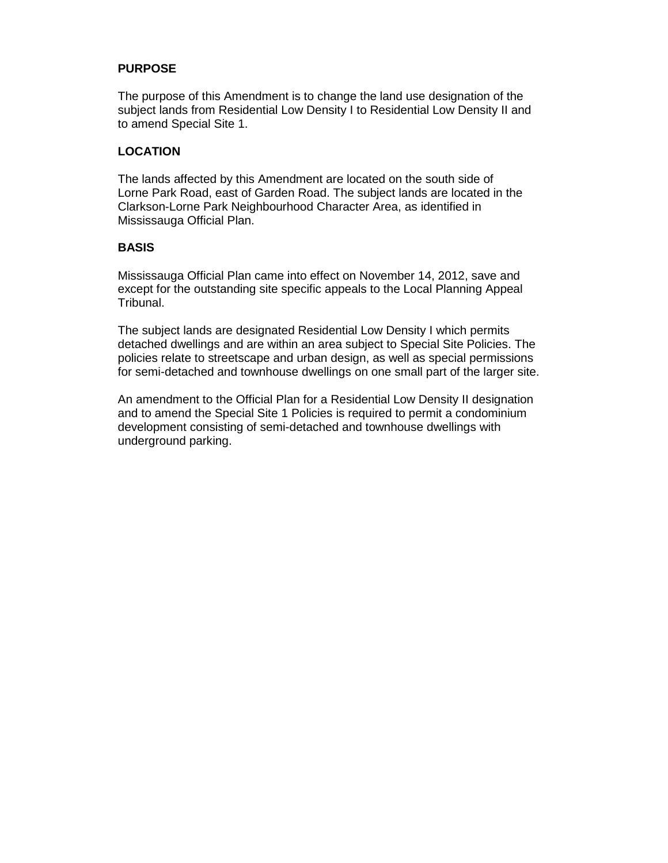#### **PURPOSE**

The purpose of this Amendment is to change the land use designation of the subject lands from Residential Low Density I to Residential Low Density II and to amend Special Site 1.

#### **LOCATION**

The lands affected by this Amendment are located on the south side of Lorne Park Road, east of Garden Road. The subject lands are located in the Clarkson-Lorne Park Neighbourhood Character Area, as identified in Mississauga Official Plan.

#### **BASIS**

Mississauga Official Plan came into effect on November 14, 2012, save and except for the outstanding site specific appeals to the Local Planning Appeal Tribunal.

The subject lands are designated Residential Low Density I which permits detached dwellings and are within an area subject to Special Site Policies. The policies relate to streetscape and urban design, as well as special permissions for semi-detached and townhouse dwellings on one small part of the larger site.

An amendment to the Official Plan for a Residential Low Density II designation and to amend the Special Site 1 Policies is required to permit a condominium development consisting of semi-detached and townhouse dwellings with underground parking.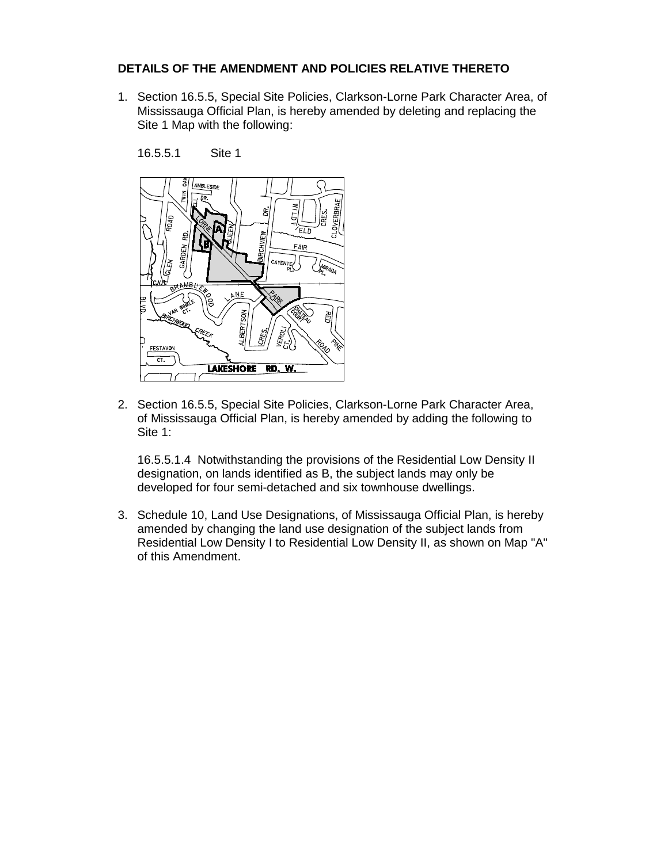#### **DETAILS OF THE AMENDMENT AND POLICIES RELATIVE THERETO**

1. Section 16.5.5, Special Site Policies, Clarkson-Lorne Park Character Area, of Mississauga Official Plan, is hereby amended by deleting and replacing the Site 1 Map with the following:



16.5.5.1 Site 1

2. Section 16.5.5, Special Site Policies, Clarkson-Lorne Park Character Area, of Mississauga Official Plan, is hereby amended by adding the following to Site 1:

16.5.5.1.4 Notwithstanding the provisions of the Residential Low Density II designation, on lands identified as B, the subject lands may only be developed for four semi-detached and six townhouse dwellings.

3. Schedule 10, Land Use Designations, of Mississauga Official Plan, is hereby amended by changing the land use designation of the subject lands from Residential Low Density I to Residential Low Density II, as shown on Map "A" of this Amendment.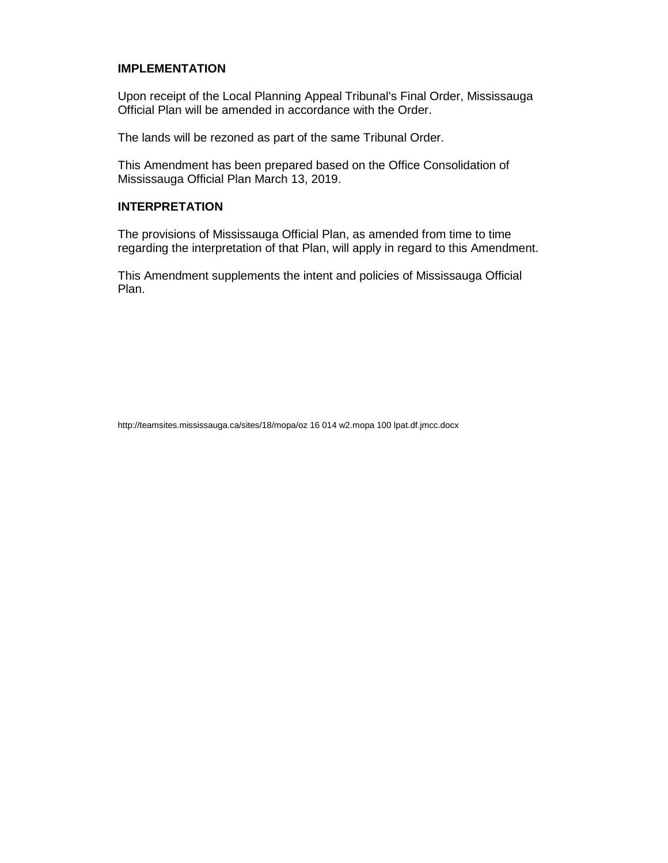#### **IMPLEMENTATION**

Upon receipt of the Local Planning Appeal Tribunal's Final Order, Mississauga Official Plan will be amended in accordance with the Order.

The lands will be rezoned as part of the same Tribunal Order.

This Amendment has been prepared based on the Office Consolidation of Mississauga Official Plan March 13, 2019.

#### **INTERPRETATION**

The provisions of Mississauga Official Plan, as amended from time to time regarding the interpretation of that Plan, will apply in regard to this Amendment.

This Amendment supplements the intent and policies of Mississauga Official Plan.

http://teamsites.mississauga.ca/sites/18/mopa/oz 16 014 w2.mopa 100 lpat.df.jmcc.docx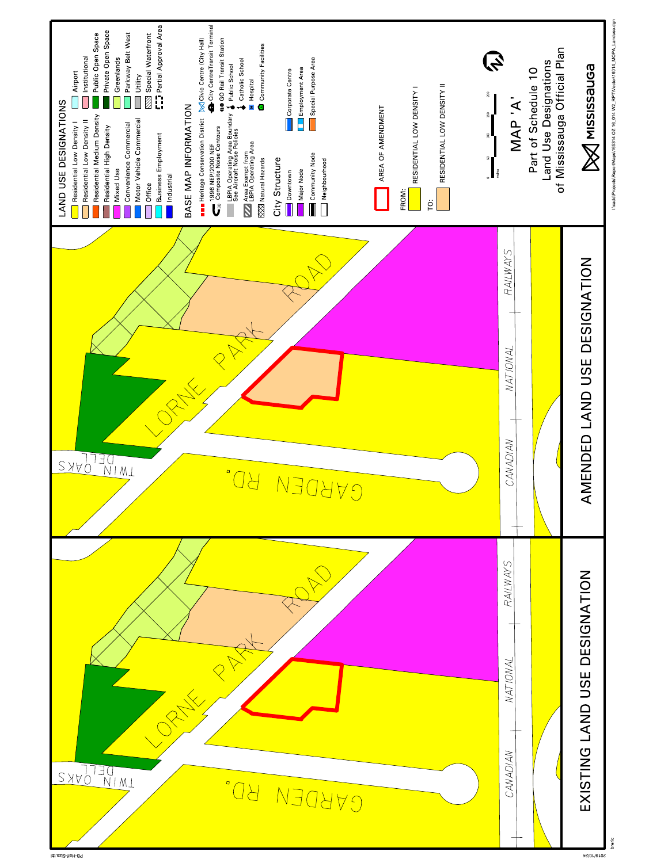

breric

I:\cadd\Projects\ReportMaps\165314 OZ 16\_014 W2\_RPT\Vector\16014\_MOPA\_Landuse.dgn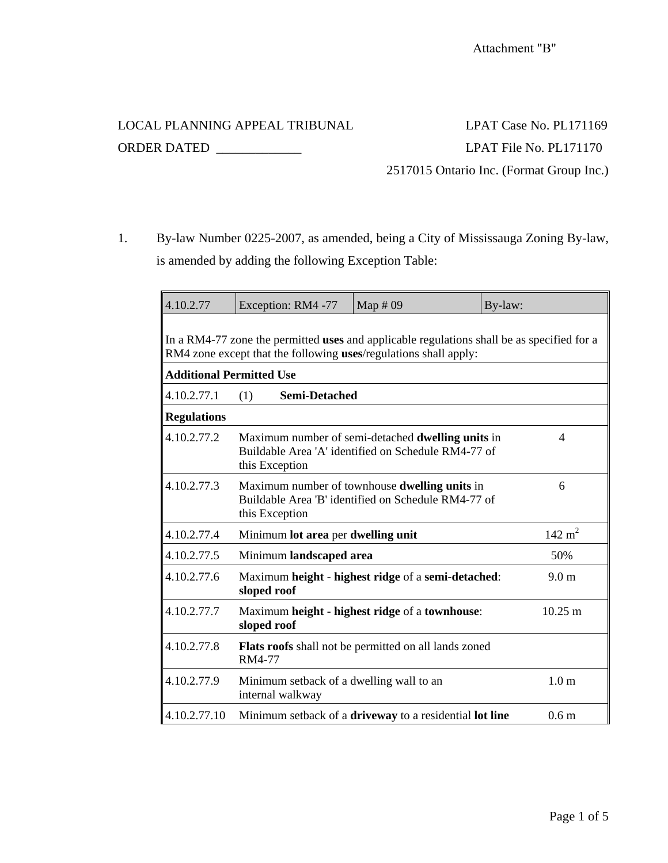LOCAL PLANNING APPEAL TRIBUNAL LPAT Case No. PL171169

ORDER DATED \_\_\_\_\_\_\_\_\_\_\_\_\_ LPAT File No. PL171170 2517015 Ontario Inc. (Format Group Inc.)

1. By-law Number 0225-2007, as amended, being a City of Mississauga Zoning By-law, is amended by adding the following Exception Table:

| 4.10.2.77                                                                                                                                                      | Exception: RM4 -77                                                                                                          | Map $#09$                                                                                                       | By-law:           |  |  |  |
|----------------------------------------------------------------------------------------------------------------------------------------------------------------|-----------------------------------------------------------------------------------------------------------------------------|-----------------------------------------------------------------------------------------------------------------|-------------------|--|--|--|
| In a RM4-77 zone the permitted uses and applicable regulations shall be as specified for a<br>RM4 zone except that the following uses/regulations shall apply: |                                                                                                                             |                                                                                                                 |                   |  |  |  |
| <b>Additional Permitted Use</b>                                                                                                                                |                                                                                                                             |                                                                                                                 |                   |  |  |  |
| 4.10.2.77.1                                                                                                                                                    | <b>Semi-Detached</b><br>(1)                                                                                                 |                                                                                                                 |                   |  |  |  |
| <b>Regulations</b>                                                                                                                                             |                                                                                                                             |                                                                                                                 |                   |  |  |  |
| 4.10.2.77.2                                                                                                                                                    | this Exception                                                                                                              | Maximum number of semi-detached <b>dwelling units</b> in<br>Buildable Area 'A' identified on Schedule RM4-77 of | 4                 |  |  |  |
| 4.10.2.77.3                                                                                                                                                    | Maximum number of townhouse dwelling units in<br>6<br>Buildable Area 'B' identified on Schedule RM4-77 of<br>this Exception |                                                                                                                 |                   |  |  |  |
| 4.10.2.77.4                                                                                                                                                    | Minimum lot area per dwelling unit                                                                                          |                                                                                                                 | $142 \text{ m}^2$ |  |  |  |
| 4.10.2.77.5                                                                                                                                                    | Minimum landscaped area                                                                                                     |                                                                                                                 | 50%               |  |  |  |
| 4.10.2.77.6                                                                                                                                                    | sloped roof                                                                                                                 | Maximum height - highest ridge of a semi-detached:                                                              | 9.0 <sub>m</sub>  |  |  |  |
| 4.10.2.77.7                                                                                                                                                    | Maximum height - highest ridge of a townhouse:<br>sloped roof                                                               |                                                                                                                 | $10.25 \text{ m}$ |  |  |  |
| 4.10.2.77.8                                                                                                                                                    | RM4-77                                                                                                                      | Flats roofs shall not be permitted on all lands zoned                                                           |                   |  |  |  |
| 4.10.2.77.9                                                                                                                                                    | Minimum setback of a dwelling wall to an<br>internal walkway                                                                |                                                                                                                 | 1.0 <sub>m</sub>  |  |  |  |
| 4.10.2.77.10                                                                                                                                                   |                                                                                                                             | Minimum setback of a driveway to a residential lot line                                                         | 0.6 <sub>m</sub>  |  |  |  |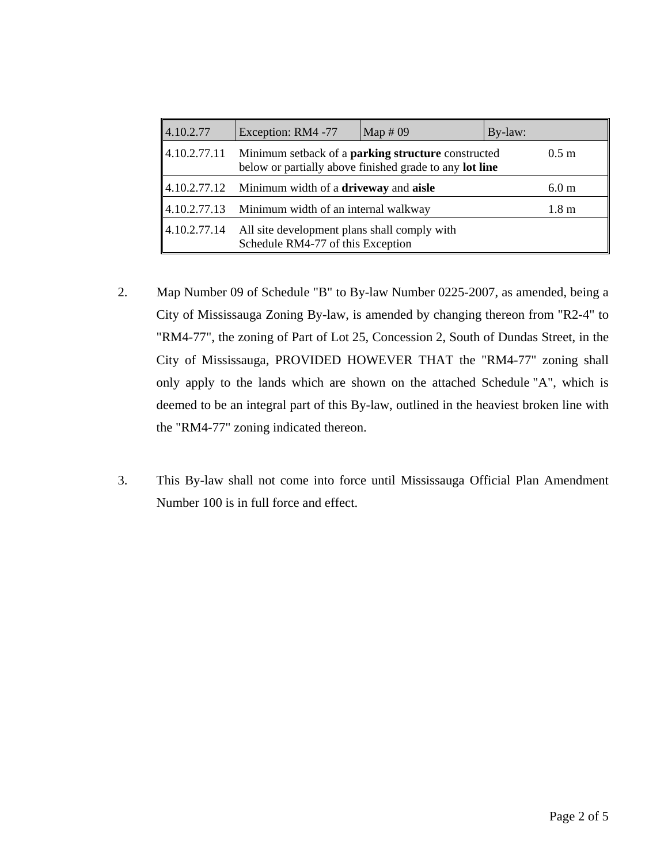| 4.10.2.77    | Exception: RM4 -77                                                                                                                          | Map $#09$ | By-law: |                  |
|--------------|---------------------------------------------------------------------------------------------------------------------------------------------|-----------|---------|------------------|
| 4.10.2.77.11 | Minimum setback of a <b>parking structure</b> constructed<br>$0.5 \; \mathrm{m}$<br>below or partially above finished grade to any lot line |           |         |                  |
|              | $\parallel$ 4.10.2.77.12 Minimum width of a <b>driveway</b> and <b>aisle</b>                                                                |           |         | 6.0 <sub>m</sub> |
| 4.10.2.77.13 | Minimum width of an internal walkway                                                                                                        |           |         | 1.8 <sub>m</sub> |
|              | $\parallel$ 4.10.2.77.14 All site development plans shall comply with<br>Schedule RM4-77 of this Exception                                  |           |         |                  |

- 2. Map Number 09 of Schedule "B" to By-law Number 0225-2007, as amended, being a City of Mississauga Zoning By-law, is amended by changing thereon from "R2-4" to "RM4-77", the zoning of Part of Lot 25, Concession 2, South of Dundas Street, in the City of Mississauga, PROVIDED HOWEVER THAT the "RM4-77" zoning shall only apply to the lands which are shown on the attached Schedule "A", which is deemed to be an integral part of this By-law, outlined in the heaviest broken line with the "RM4-77" zoning indicated thereon.
- 3. This By-law shall not come into force until Mississauga Official Plan Amendment Number 100 is in full force and effect.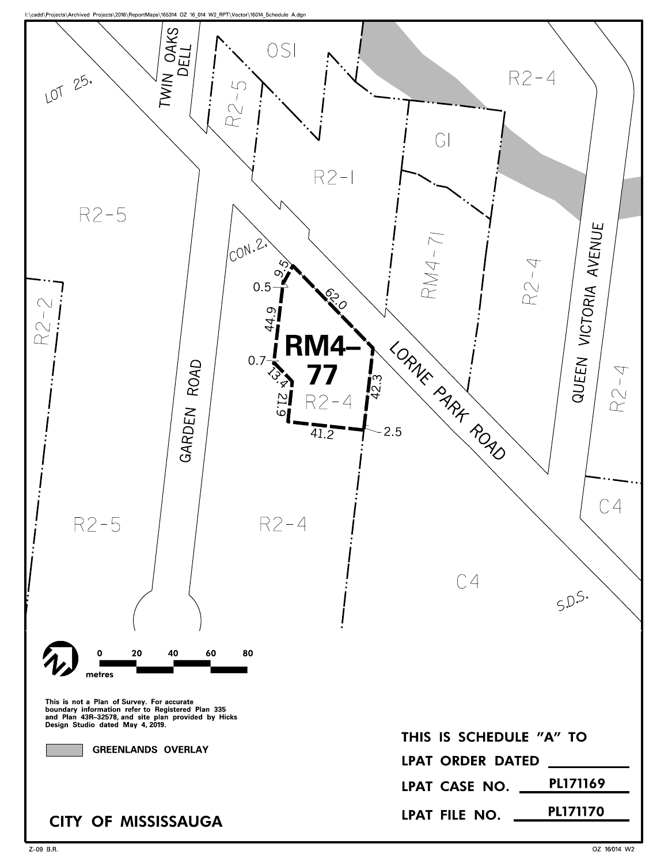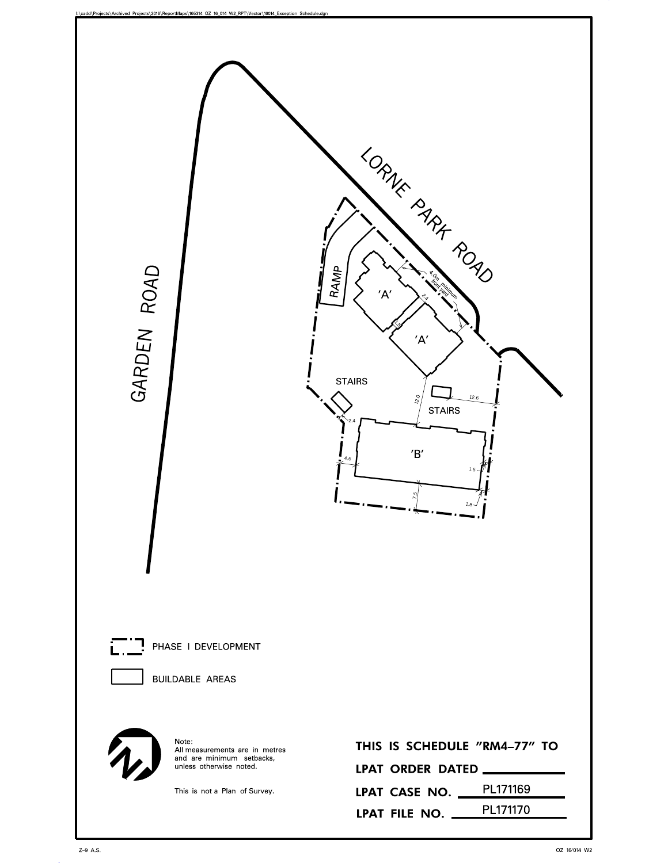